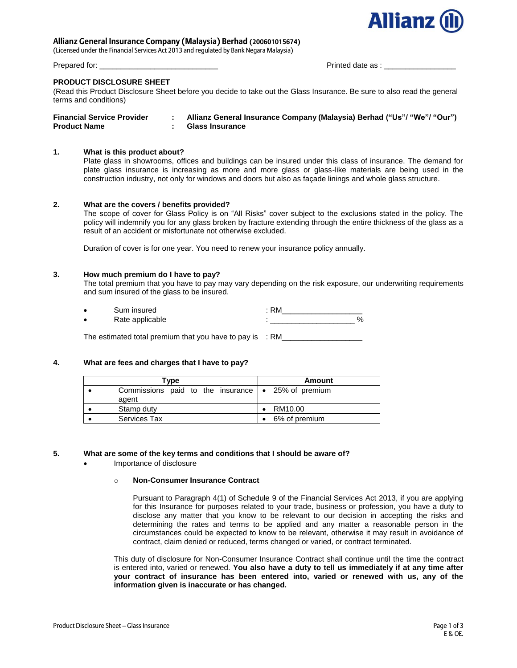

# **Allianz General Insurance Company (Malaysia) Berhad (200601015674)**

(Licensed under the Financial Services Act 2013 and regulated by Bank Negara Malaysia)

Prepared for: \_\_\_\_\_\_\_\_\_\_\_\_\_\_\_\_\_\_\_\_\_\_\_\_\_\_\_\_ Printed date as : \_\_\_\_\_\_\_\_\_\_\_\_\_\_\_\_\_

### **PRODUCT DISCLOSURE SHEET**

(Read this Product Disclosure Sheet before you decide to take out the Glass Insurance. Be sure to also read the general terms and conditions)

| <b>Financial Service Provider</b> | Allianz General Insurance Company (Malaysia) Berhad ("Us"/ "We"/ "Our") |
|-----------------------------------|-------------------------------------------------------------------------|
| <b>Product Name</b>               | <b>Glass Insurance</b>                                                  |

# **1. What is this product about?**

Plate glass in showrooms, offices and buildings can be insured under this class of insurance. The demand for plate glass insurance is increasing as more and more glass or glass-like materials are being used in the construction industry, not only for windows and doors but also as façade linings and whole glass structure.

### **2. What are the covers / benefits provided?**

The scope of cover for Glass Policy is on "All Risks" cover subject to the exclusions stated in the policy. The policy will indemnify you for any glass broken by fracture extending through the entire thickness of the glass as a result of an accident or misfortunate not otherwise excluded.

Duration of cover is for one year. You need to renew your insurance policy annually.

### **3. How much premium do I have to pay?**

The total premium that you have to pay may vary depending on the risk exposure, our underwriting requirements and sum insured of the glass to be insured.

| ٠ | Sum insured     | RM |      |
|---|-----------------|----|------|
| ٠ | Rate applicable |    | $\%$ |
|   |                 |    |      |

The estimated total premium that you have to pay is  $\therefore$  RM\_

# **4. What are fees and charges that I have to pay?**

| Type                                                             | Amount        |
|------------------------------------------------------------------|---------------|
| Commissions paid to the insurance $\sim$ 25% of premium<br>agent |               |
| Stamp duty                                                       | RM10.00       |
| <b>Services Tax</b>                                              | 6% of premium |

#### **5. What are some of the key terms and conditions that I should be aware of?**

Importance of disclosure

#### o **Non-Consumer Insurance Contract**

Pursuant to Paragraph 4(1) of Schedule 9 of the Financial Services Act 2013, if you are applying for this Insurance for purposes related to your trade, business or profession, you have a duty to disclose any matter that you know to be relevant to our decision in accepting the risks and determining the rates and terms to be applied and any matter a reasonable person in the circumstances could be expected to know to be relevant, otherwise it may result in avoidance of contract, claim denied or reduced, terms changed or varied, or contract terminated.

This duty of disclosure for Non-Consumer Insurance Contract shall continue until the time the contract is entered into, varied or renewed. **You also have a duty to tell us immediately if at any time after your contract of insurance has been entered into, varied or renewed with us, any of the information given is inaccurate or has changed.**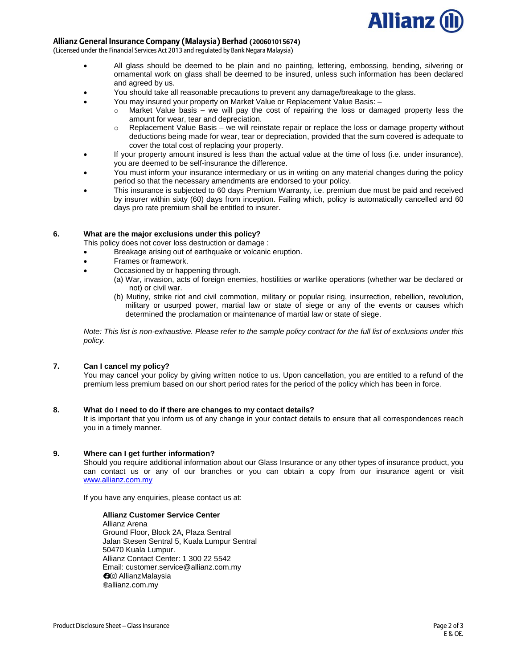

# **Allianz General Insurance Company (Malaysia) Berhad (200601015674)**

(Licensed under the Financial Services Act 2013 and regulated by Bank Negara Malaysia)

- All glass should be deemed to be plain and no painting, lettering, embossing, bending, silvering or ornamental work on glass shall be deemed to be insured, unless such information has been declared and agreed by us.
- You should take all reasonable precautions to prevent any damage/breakage to the glass.
- You may insured your property on Market Value or Replacement Value Basis:
	- o Market Value basis we will pay the cost of repairing the loss or damaged property less the amount for wear, tear and depreciation.
	- $\circ$  Replacement Value Basis we will reinstate repair or replace the loss or damage property without deductions being made for wear, tear or depreciation, provided that the sum covered is adequate to cover the total cost of replacing your property.
- If your property amount insured is less than the actual value at the time of loss (i.e. under insurance), you are deemed to be self-insurance the difference.
- You must inform your insurance intermediary or us in writing on any material changes during the policy period so that the necessary amendments are endorsed to your policy.
- This insurance is subjected to 60 days Premium Warranty, i.e. premium due must be paid and received by insurer within sixty (60) days from inception. Failing which, policy is automatically cancelled and 60 days pro rate premium shall be entitled to insurer.

# **6. What are the major exclusions under this policy?**

This policy does not cover loss destruction or damage :

- Breakage arising out of earthquake or volcanic eruption.
- Frames or framework.
- Occasioned by or happening through.
	- (a) War, invasion, acts of foreign enemies, hostilities or warlike operations (whether war be declared or not) or civil war.
	- (b) Mutiny, strike riot and civil commotion, military or popular rising, insurrection, rebellion, revolution, military or usurped power, martial law or state of siege or any of the events or causes which determined the proclamation or maintenance of martial law or state of siege.

*Note: This list is non-exhaustive. Please refer to the sample policy contract for the full list of exclusions under this policy.* 

# **7. Can I cancel my policy?**

You may cancel your policy by giving written notice to us. Upon cancellation, you are entitled to a refund of the premium less premium based on our short period rates for the period of the policy which has been in force.

# **8. What do I need to do if there are changes to my contact details?**

It is important that you inform us of any change in your contact details to ensure that all correspondences reach you in a timely manner.

#### **9. Where can I get further information?**

Should you require additional information about our Glass Insurance or any other types of insurance product, you can contact us or any of our branches or you can obtain a copy from our insurance agent or visit [www.allianz.com.my](http://www.allianz.com.my/)

If you have any enquiries, please contact us at:

**Allianz Customer Service Center** Allianz Arena Ground Floor, Block 2A, Plaza Sentral Jalan Stesen Sentral 5, Kuala Lumpur Sentral 50470 Kuala Lumpur. Allianz Contact Center: 1 300 22 5542 Email: customer.service@allianz.com.my **O**<sup> $\odot$ </sup> AllianzMalaysia allianz.com.my